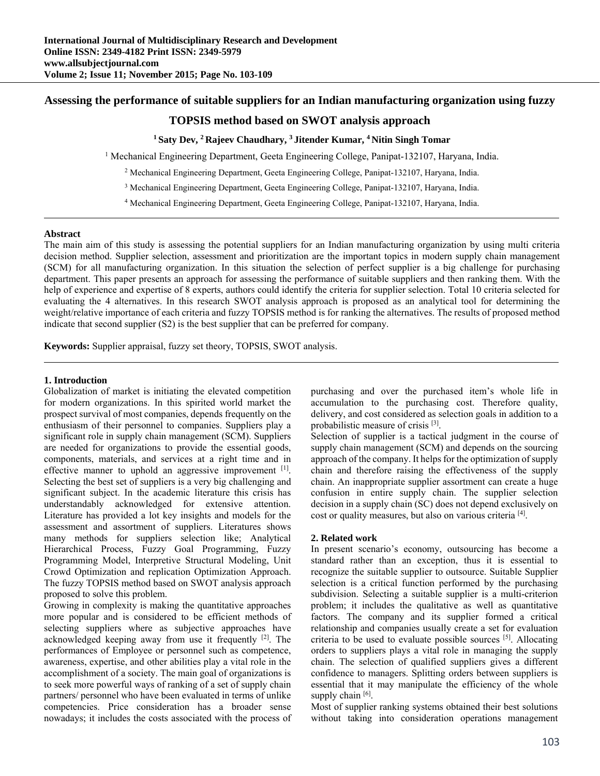# **Assessing the performance of suitable suppliers for an Indian manufacturing organization using fuzzy**

# **TOPSIS method based on SWOT analysis approach**

# **1 Saty Dev, 2 Rajeev Chaudhary, 3 Jitender Kumar, 4 Nitin Singh Tomar**

<sup>1</sup> Mechanical Engineering Department, Geeta Engineering College, Panipat-132107, Haryana, India.

2 Mechanical Engineering Department, Geeta Engineering College, Panipat-132107, Haryana, India.

3 Mechanical Engineering Department, Geeta Engineering College, Panipat-132107, Haryana, India.

4 Mechanical Engineering Department, Geeta Engineering College, Panipat-132107, Haryana, India.

### **Abstract**

The main aim of this study is assessing the potential suppliers for an Indian manufacturing organization by using multi criteria decision method. Supplier selection, assessment and prioritization are the important topics in modern supply chain management (SCM) for all manufacturing organization. In this situation the selection of perfect supplier is a big challenge for purchasing department. This paper presents an approach for assessing the performance of suitable suppliers and then ranking them. With the help of experience and expertise of 8 experts, authors could identify the criteria for supplier selection. Total 10 criteria selected for evaluating the 4 alternatives. In this research SWOT analysis approach is proposed as an analytical tool for determining the weight/relative importance of each criteria and fuzzy TOPSIS method is for ranking the alternatives. The results of proposed method indicate that second supplier (S2) is the best supplier that can be preferred for company.

**Keywords:** Supplier appraisal, fuzzy set theory, TOPSIS, SWOT analysis.

### **1. Introduction**

Globalization of market is initiating the elevated competition for modern organizations. In this spirited world market the prospect survival of most companies, depends frequently on the enthusiasm of their personnel to companies. Suppliers play a significant role in supply chain management (SCM). Suppliers are needed for organizations to provide the essential goods, components, materials, and services at a right time and in effective manner to uphold an aggressive improvement <sup>[1]</sup>. Selecting the best set of suppliers is a very big challenging and significant subject. In the academic literature this crisis has understandably acknowledged for extensive attention. Literature has provided a lot key insights and models for the assessment and assortment of suppliers. Literatures shows many methods for suppliers selection like; Analytical Hierarchical Process, Fuzzy Goal Programming, Fuzzy Programming Model, Interpretive Structural Modeling, Unit Crowd Optimization and replication Optimization Approach. The fuzzy TOPSIS method based on SWOT analysis approach proposed to solve this problem.

Growing in complexity is making the quantitative approaches more popular and is considered to be efficient methods of selecting suppliers where as subjective approaches have acknowledged keeping away from use it frequently  $[2]$ . The performances of Employee or personnel such as competence, awareness, expertise, and other abilities play a vital role in the accomplishment of a society. The main goal of organizations is to seek more powerful ways of ranking of a set of supply chain partners/ personnel who have been evaluated in terms of unlike competencies. Price consideration has a broader sense nowadays; it includes the costs associated with the process of purchasing and over the purchased item's whole life in accumulation to the purchasing cost. Therefore quality, delivery, and cost considered as selection goals in addition to a probabilistic measure of crisis [3].

Selection of supplier is a tactical judgment in the course of supply chain management (SCM) and depends on the sourcing approach of the company. It helps for the optimization of supply chain and therefore raising the effectiveness of the supply chain. An inappropriate supplier assortment can create a huge confusion in entire supply chain. The supplier selection decision in a supply chain (SC) does not depend exclusively on cost or quality measures, but also on various criteria [4].

### **2. Related work**

In present scenario's economy, outsourcing has become a standard rather than an exception, thus it is essential to recognize the suitable supplier to outsource. Suitable Supplier selection is a critical function performed by the purchasing subdivision. Selecting a suitable supplier is a multi-criterion problem; it includes the qualitative as well as quantitative factors. The company and its supplier formed a critical relationship and companies usually create a set for evaluation criteria to be used to evaluate possible sources [5]. Allocating orders to suppliers plays a vital role in managing the supply chain. The selection of qualified suppliers gives a different confidence to managers. Splitting orders between suppliers is essential that it may manipulate the efficiency of the whole supply chain [6].

Most of supplier ranking systems obtained their best solutions without taking into consideration operations management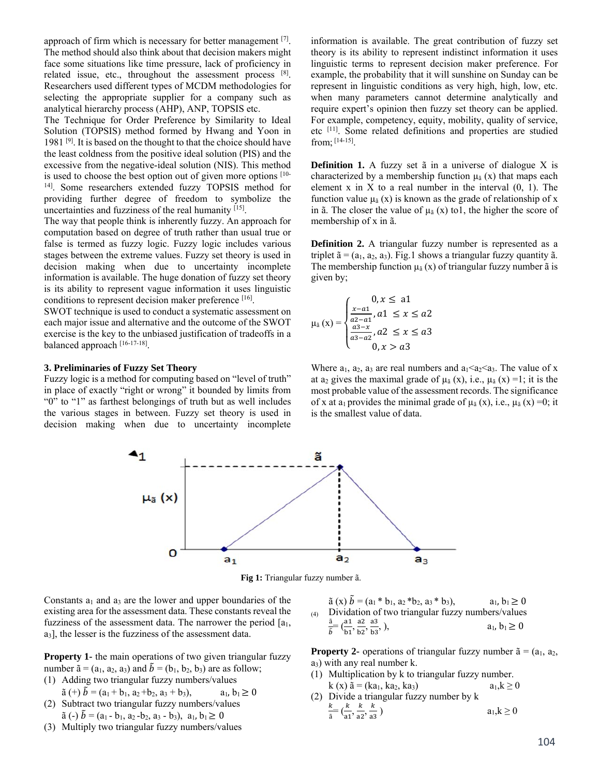approach of firm which is necessary for better management [7]. The method should also think about that decision makers might face some situations like time pressure, lack of proficiency in related issue, etc., throughout the assessment process [8]. Researchers used different types of MCDM methodologies for selecting the appropriate supplier for a company such as analytical hierarchy process (AHP), ANP, TOPSIS etc.

The Technique for Order Preference by Similarity to Ideal Solution (TOPSIS) method formed by Hwang and Yoon in 1981 [9]. It is based on the thought to that the choice should have the least coldness from the positive ideal solution (PIS) and the excessive from the negative-ideal solution (NIS). This method is used to choose the best option out of given more options [10- 14]. Some researchers extended fuzzy TOPSIS method for providing further degree of freedom to symbolize the uncertainties and fuzziness of the real humanity [15].

The way that people think is inherently fuzzy. An approach for computation based on degree of truth rather than usual true or false is termed as fuzzy logic. Fuzzy logic includes various stages between the extreme values. Fuzzy set theory is used in decision making when due to uncertainty incomplete information is available. The huge donation of fuzzy set theory is its ability to represent vague information it uses linguistic conditions to represent decision maker preference [16].

SWOT technique is used to conduct a systematic assessment on each major issue and alternative and the outcome of the SWOT exercise is the key to the unbiased justification of tradeoffs in a balanced approach [16-17-18].

#### **3. Preliminaries of Fuzzy Set Theory**

Fuzzy logic is a method for computing based on "level of truth" in place of exactly "right or wrong" it bounded by limits from "0" to "1" as farthest belongings of truth but as well includes the various stages in between. Fuzzy set theory is used in decision making when due to uncertainty incomplete

information is available. The great contribution of fuzzy set theory is its ability to represent indistinct information it uses linguistic terms to represent decision maker preference. For example, the probability that it will sunshine on Sunday can be represent in linguistic conditions as very high, high, low, etc. when many parameters cannot determine analytically and require expert's opinion then fuzzy set theory can be applied. For example, competency, equity, mobility, quality of service, etc [11]. Some related definitions and properties are studied from; [14-15].

**Definition 1.** A fuzzy set  $\tilde{a}$  in a universe of dialogue X is characterized by a membership function  $\mu_{\tilde{a}}(x)$  that maps each element x in X to a real number in the interval  $(0, 1)$ . The function value  $\mu_{\tilde{a}}(x)$  is known as the grade of relationship of x in ã. The closer the value of  $\mu_{\tilde{a}} (x)$  to l, the higher the score of membership of x in ã.

**Definition 2.** A triangular fuzzy number is represented as a triplet  $\tilde{a} = (a_1, a_2, a_3)$ . Fig.1 shows a triangular fuzzy quantity  $\tilde{a}$ . The membership function  $\mu_{\tilde{a}}(x)$  of triangular fuzzy number  $\tilde{a}$  is given by;

$$
\mu_{\tilde{a}}(x) = \begin{cases} 0, x \leq a1 \\ \frac{x-a1}{a2-a1}, a1 \leq x \leq a2 \\ \frac{a3-x}{a3-a2}, a2 \leq x \leq a3 \\ 0, x > a3 \end{cases}
$$

Where  $a_1$ ,  $a_2$ ,  $a_3$  are real numbers and  $a_1 < a_2 < a_3$ . The value of x at a<sub>2</sub> gives the maximal grade of  $\mu_{\tilde{a}}(x)$ , i.e.,  $\mu_{\tilde{a}}(x) = 1$ ; it is the most probable value of the assessment records. The significance of x at  $a_1$  provides the minimal grade of  $\mu_{\tilde{a}}(x)$ , i.e.,  $\mu_{\tilde{a}}(x) = 0$ ; it is the smallest value of data.



**Fig 1:** Triangular fuzzy number ã.

Constants  $a_1$  and  $a_3$  are the lower and upper boundaries of the existing area for the assessment data. These constants reveal the fuzziness of the assessment data. The narrower the period  $[a_1, a_2]$  $a<sub>3</sub>$ ], the lesser is the fuzziness of the assessment data.

**Property 1-** the main operations of two given triangular fuzzy number  $\tilde{a} = (a_1, a_2, a_3)$  and  $\tilde{b} = (b_1, b_2, b_3)$  are as follow;

(1) Adding two triangular fuzzy numbers/values

- $\tilde{a}$  (+)  $\tilde{b}$  = (a<sub>1</sub> + b<sub>1</sub>, a<sub>2</sub> + b<sub>2</sub>, a<sub>3</sub> + b<sub>3</sub>), a<sub>1</sub>, b<sub>1</sub>  $\geq$  0 (2) Subtract two triangular fuzzy numbers/values
- $\tilde{a}$  (-)  $\tilde{b} = (a_1 b_1, a_2 b_2, a_3 b_3), a_1, b_1 \ge 0$
- (3) Multiply two triangular fuzzy numbers/values

$$
\begin{array}{ll}\n\tilde{a}(x) \ \tilde{b} = (a_1 * b_1, a_2 * b_2, a_3 * b_3), & a_1, b_1 \ge 0 \\
\text{Dividation of two triangular fuzzy numbers/values} \\
\frac{\tilde{a}}{\tilde{b}} = (\frac{a_1}{b_1}, \frac{a_2}{b_2}, \frac{a_3}{b_3}), & a_1, b_1 \ge 0\n\end{array}
$$

**Property 2-** operations of triangular fuzzy number  $\tilde{a} = (a_1, a_2, a_3)$  $a_3$ ) with any real number k.

- (1) Multiplication by k to triangular fuzzy number. k (x)  $\tilde{a} = (ka_1, ka_2, ka_3)$   $a_1, k \ge 0$
- (2) Divide a triangular fuzzy number by k k  $\frac{k}{a} = \left(\frac{k}{a1}, \frac{k}{a2}, \frac{k}{a3}\right)$  $a_1, k \geq 0$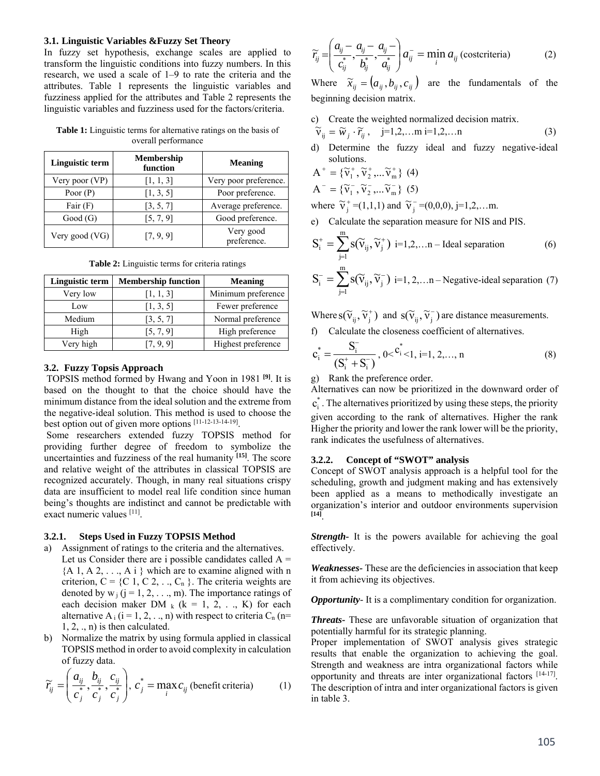#### **3.1. Linguistic Variables &Fuzzy Set Theory**

In fuzzy set hypothesis, exchange scales are applied to transform the linguistic conditions into fuzzy numbers. In this research, we used a scale of 1–9 to rate the criteria and the attributes. Table 1 represents the linguistic variables and fuzziness applied for the attributes and Table 2 represents the linguistic variables and fuzziness used for the factors/criteria.

**Table 1:** Linguistic terms for alternative ratings on the basis of overall performance

| <b>Linguistic term</b> | Membership<br>function | <b>Meaning</b>           |
|------------------------|------------------------|--------------------------|
| Very poor (VP)         | [1, 1, 3]              | Very poor preference.    |
| Poor $(P)$             | [1, 3, 5]              | Poor preference.         |
| Fair $(F)$             | [3, 5, 7]              | Average preference.      |
| Good(G)                | [5, 7, 9]              | Good preference.         |
| Very good (VG)         | [7, 9, 9]              | Very good<br>preference. |

| Linguistic term | <b>Membership function</b> | <b>Meaning</b>     |
|-----------------|----------------------------|--------------------|
| Very low        | [1, 1, 3]                  | Minimum preference |
| Low             | [1, 3, 5]                  | Fewer preference   |
| Medium          | [3, 5, 7]                  | Normal preference  |
| High            | [5, 7, 9]                  | High preference    |
| Very high       | [7, 9, 9]                  | Highest preference |

**Table 2:** Linguistic terms for criteria ratings

### **3.2. Fuzzy Topsis Approach**

 TOPSIS method formed by Hwang and Yoon in 1981 **[9]**. It is based on the thought to that the choice should have the minimum distance from the ideal solution and the extreme from the negative-ideal solution. This method is used to choose the best option out of given more options [11-12-13-14-19].

 Some researchers extended fuzzy TOPSIS method for providing further degree of freedom to symbolize the uncertainties and fuzziness of the real humanity **[15]**. The score and relative weight of the attributes in classical TOPSIS are recognized accurately. Though, in many real situations crispy data are insufficient to model real life condition since human being's thoughts are indistinct and cannot be predictable with exact numeric values [11].

#### **3.2.1. Steps Used in Fuzzy TOPSIS Method**

- a) Assignment of ratings to the criteria and the alternatives. Let us Consider there are i possible candidates called  $A =$  ${A_1, A_2, \ldots, A_i}$  which are to examine aligned with n criterion,  $C = \{C_1, C_2, \ldots, C_n\}$ . The criteria weights are denoted by  $w_i$  (j = 1, 2, ..., m). The importance ratings of each decision maker DM  $_k$  (k = 1, 2, ..., K) for each alternative A<sub>i</sub>  $(i = 1, 2, ..., n)$  with respect to criteria C<sub>n</sub> (n=  $1, 2, \ldots$  n) is then calculated.
- b) Normalize the matrix by using formula applied in classical TOPSIS method in order to avoid complexity in calculation of fuzzy data.

$$
\widetilde{r}_{ij} = \left(\frac{a_{ij}}{c_j^*, \frac{b_{ij}}{c_j^*, \frac{c_{ij}}{c_j}}}\right), \ c_j^* = \max_i c_{ij} \text{ (benefit criteria)}
$$
\n(1)

$$
\widetilde{r}_{ij} = \left(\frac{a_{ij} - a_{ij} - a_{ij} - a_{ij}}{c_{ij}^*}, \frac{a_{ij} - a_{ij}}{c_{ij}^*}\right) a_{ij}^- = \min_i a_{ij} \text{ (costeriteria)}
$$
\n(2)

Where  $\tilde{x}_{ii} = (a_{ii}, b_{ii}, c_{ii})$  are the fundamentals of the beginning decision matrix.

c) Create the weighted normalized decision matrix.

$$
\widetilde{\mathbf{v}}_{ij} = \widetilde{w}_j \cdot \widetilde{r}_{ij}, \quad j=1,2,... \text{ m i}=1,2,... \text{ n}
$$
 (3)

d) Determine the fuzzy ideal and fuzzy negative-ideal solutions.

$$
\mathbf{A}^+ = \{ \widetilde{\mathbf{v}}_1^+, \widetilde{\mathbf{v}}_2^+, \dots, \widetilde{\mathbf{v}}_m^+ \} \tag{4}
$$

$$
A^{-} = \{\widetilde{v}_{1}^{-}, \widetilde{v}_{2}^{-}, ... \widetilde{v}_{m}^{-}\} (5)
$$

where  $\tilde{v}_j^+$  =(1,1,1) and  $\tilde{v}_j^-$  =(0,0,0), j=1,2,...m.

e) Calculate the separation measure for NIS and PIS.

$$
S_i^+ = \sum_{j=1}^m s(\widetilde{v}_{ij}, \widetilde{v}_j^+) \text{ i=1,2,...n-Ideal separation}
$$
 (6)

$$
S_i^- = \sum_{j=1}^{m} s(\widetilde{v}_{ij}, \widetilde{v}_j^-) \text{ i=1, 2, \dots n-Negative-ideal separation (7)}
$$

Where  $S(\tilde{v}_{ij}, \tilde{v}_j^+)$  and  $S(\tilde{v}_{ij}, \tilde{v}_j^-)$  are distance measurements.

f) Calculate the closeness coefficient of alternatives.

$$
c_i^* = \frac{S_i^-}{(S_i^+ + S_i^-)}, 0 < c_{i \le 1, i=1, 2, ..., n}^*
$$
 (8)

g) Rank the preference order.

Alternatives can now be prioritized in the downward order of

 $c_i^*$ . The alternatives prioritized by using these steps, the priority given according to the rank of alternatives. Higher the rank Higher the priority and lower the rank lower will be the priority, rank indicates the usefulness of alternatives.

#### **3.2.2. Concept of "SWOT" analysis**

Concept of SWOT analysis approach is a helpful tool for the scheduling, growth and judgment making and has extensively been applied as a means to methodically investigate an organization's interior and outdoor environments supervision **[14]**.

*Strength-* It is the powers available for achieving the goal effectively.

*Weaknesses-* These are the deficiencies in association that keep it from achieving its objectives.

*Opportunity*- It is a complimentary condition for organization.

*Threats-* These are unfavorable situation of organization that potentially harmful for its strategic planning.

Proper implementation of SWOT analysis gives strategic results that enable the organization to achieving the goal. Strength and weakness are intra organizational factors while opportunity and threats are inter organizational factors [14-17]. The description of intra and inter organizational factors is given in table 3.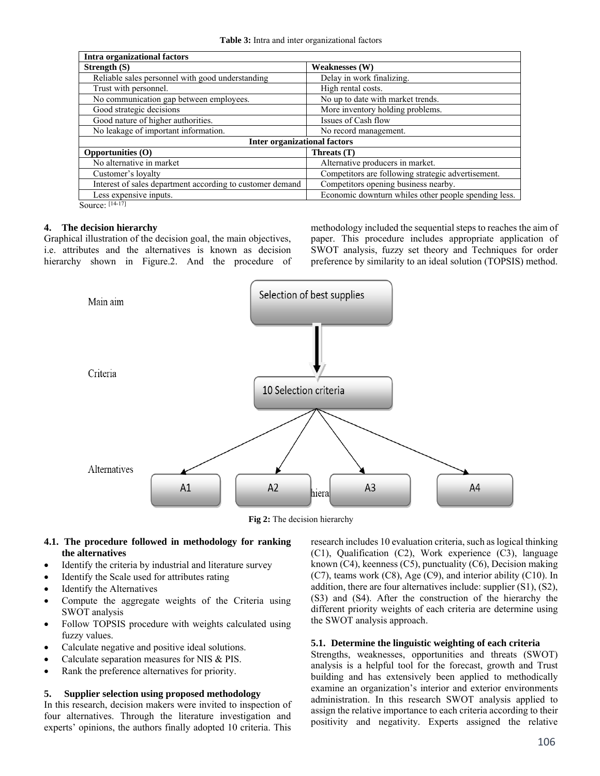| <b>Intra organizational factors</b>                       |                                                      |
|-----------------------------------------------------------|------------------------------------------------------|
| Strength $(S)$                                            | <b>Weaknesses (W)</b>                                |
| Reliable sales personnel with good understanding          | Delay in work finalizing.                            |
| Trust with personnel.                                     | High rental costs.                                   |
| No communication gap between employees.                   | No up to date with market trends.                    |
| Good strategic decisions                                  | More inventory holding problems.                     |
| Good nature of higher authorities.                        | Issues of Cash flow                                  |
| No leakage of important information.                      | No record management.                                |
| <b>Inter organizational factors</b>                       |                                                      |
| <b>Opportunities (O)</b>                                  | Threats (T)                                          |
| No alternative in market                                  | Alternative producers in market.                     |
| Customer's loyalty                                        | Competitors are following strategic advertisement.   |
| Interest of sales department according to customer demand | Competitors opening business nearby.                 |
| Less expensive inputs.                                    | Economic downturn whiles other people spending less. |
| $[14-17]$<br>$\sim$                                       |                                                      |

Source:  $[14-17]$ 

### **4. The decision hierarchy**

Graphical illustration of the decision goal, the main objectives, i.e. attributes and the alternatives is known as decision hierarchy shown in Figure.2. And the procedure of

methodology included the sequential steps to reaches the aim of paper. This procedure includes appropriate application of SWOT analysis, fuzzy set theory and Techniques for order preference by similarity to an ideal solution (TOPSIS) method.



**Fig 2:** The decision hierarchy

## **4.1. The procedure followed in methodology for ranking the alternatives**

- Identify the criteria by industrial and literature survey
- Identify the Scale used for attributes rating
- Identify the Alternatives
- Compute the aggregate weights of the Criteria using SWOT analysis
- Follow TOPSIS procedure with weights calculated using fuzzy values.
- Calculate negative and positive ideal solutions.
- Calculate separation measures for NIS & PIS.
- Rank the preference alternatives for priority.

## **5. Supplier selection using proposed methodology**

In this research, decision makers were invited to inspection of four alternatives. Through the literature investigation and experts' opinions, the authors finally adopted 10 criteria. This

research includes 10 evaluation criteria, such as logical thinking (C1), Qualification (C2), Work experience (C3), language known (C4), keenness (C5), punctuality (C6), Decision making (C7), teams work (C8), Age (C9), and interior ability (C10). In addition, there are four alternatives include: supplier (S1), (S2), (S3) and (S4). After the construction of the hierarchy the different priority weights of each criteria are determine using the SWOT analysis approach.

## **5.1. Determine the linguistic weighting of each criteria**

Strengths, weaknesses, opportunities and threats (SWOT) analysis is a helpful tool for the forecast, growth and Trust building and has extensively been applied to methodically examine an organization's interior and exterior environments administration. In this research SWOT analysis applied to assign the relative importance to each criteria according to their positivity and negativity. Experts assigned the relative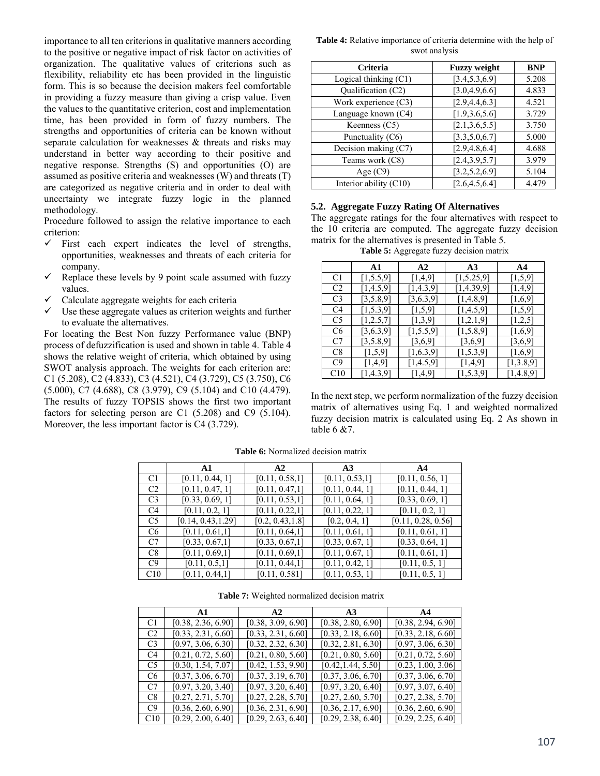importance to all ten criterions in qualitative manners according to the positive or negative impact of risk factor on activities of organization. The qualitative values of criterions such as flexibility, reliability etc has been provided in the linguistic form. This is so because the decision makers feel comfortable in providing a fuzzy measure than giving a crisp value. Even the values to the quantitative criterion, cost and implementation time, has been provided in form of fuzzy numbers. The strengths and opportunities of criteria can be known without separate calculation for weaknesses  $\&$  threats and risks may understand in better way according to their positive and negative response. Strengths (S) and opportunities (O) are assumed as positive criteria and weaknesses (W) and threats (T) are categorized as negative criteria and in order to deal with uncertainty we integrate fuzzy logic in the planned methodology.

Procedure followed to assign the relative importance to each criterion:

- $\checkmark$  First each expert indicates the level of strengths, opportunities, weaknesses and threats of each criteria for company.
- Replace these levels by 9 point scale assumed with fuzzy values.
- Calculate aggregate weights for each criteria
- $\checkmark$  Use these aggregate values as criterion weights and further to evaluate the alternatives.

For locating the Best Non fuzzy Performance value (BNP) process of defuzzification is used and shown in table 4. Table 4 shows the relative weight of criteria, which obtained by using SWOT analysis approach. The weights for each criterion are: C1 (5.208), C2 (4.833), C3 (4.521), C4 (3.729), C5 (3.750), C6 (5.000), C7 (4.688), C8 (3.979), C9 (5.104) and C10 (4.479). The results of fuzzy TOPSIS shows the first two important factors for selecting person are C1 (5.208) and C9 (5.104). Moreover, the less important factor is C4 (3.729).

**Table 4:** Relative importance of criteria determine with the help of swot analysis

| <b>Criteria</b>          | <b>Fuzzy weight</b> | <b>BNP</b> |
|--------------------------|---------------------|------------|
| Logical thinking $(C1)$  | [3.4, 5.3, 6.9]     | 5.208      |
| Qualification (C2)       | [3.0, 4.9, 6.6]     | 4.833      |
| Work experience (C3)     | [2.9, 4.4, 6.3]     | 4.521      |
| Language known (C4)      | [1.9, 3.6, 5.6]     | 3.729      |
| Keenness $(C5)$          | [2.1, 3.6, 5.5]     | 3.750      |
| Punctuality (C6)         | [3.3, 5.0, 6.7]     | 5.000      |
| Decision making (C7)     | [2.9, 4.8, 6.4]     | 4.688      |
| Teams work (C8)          | [2.4, 3.9, 5.7]     | 3.979      |
| Age $(C9)$               | [3.2, 5.2, 6.9]     | 5.104      |
| Interior ability $(C10)$ | [2.6, 4.5, 6.4]     | 4.479      |

#### **5.2. Aggregate Fuzzy Rating Of Alternatives**

The aggregate ratings for the four alternatives with respect to the 10 criteria are computed. The aggregate fuzzy decision matrix for the alternatives is presented in Table 5.

**Table 5:** Aggregate fuzzy decision matrix

|                | A1          | A2        | A3         | A4        |
|----------------|-------------|-----------|------------|-----------|
| C1             | [1, 5.5, 9] | [1,4,9]   | [1,5.25,9] | [1, 5, 9] |
| C <sub>2</sub> | [1,4.5,9]   | [1,4.3,9] | [1,4.39,9] | [1,4,9]   |
| C <sub>3</sub> | [3,5.8,9]   | [3,6.3,9] | [1,4.8,9]  | [1,6,9]   |
| C4             | [1,5.3,9]   | [1,5,9]   | [1,4.5,9]  | [1,5,9]   |
| C5             | [1,2.5,7]   | [1,3,9]   | [1,2.1,9]  | [1,2,5]   |
| C6             | [3,6.3,9]   | [1,5.5,9] | [1,5.8,9]  | [1,6,9]   |
| C7             | [3,5.8,9]   | [3,6,9]   | [3,6,9]    | [3,6,9]   |
| C8             | [1,5,9]     | [1,6.3,9] | [1,5.3,9]  | [1,6,9]   |
| C9             | [1,4,9]     | [1,4.5,9] | [1,4,9]    | [1,3.8,9] |
| C10            | [1,4.3,9]   | [1,4,9]   | [1,5.3,9]  | [1,4.8,9] |

In the next step, we perform normalization of the fuzzy decision matrix of alternatives using Eq. 1 and weighted normalized fuzzy decision matrix is calculated using Eq. 2 As shown in table  $6 \& 7$ .

|                | A1                 | A2               | A3              | A4                 |
|----------------|--------------------|------------------|-----------------|--------------------|
| C1             | [0.11, 0.44, 1]    | [0.11, 0.58, 1]  | [0.11, 0.53, 1] | [0.11, 0.56, 1]    |
| C <sub>2</sub> | [0.11, 0.47, 1]    | [0.11, 0.47, 1]  | [0.11, 0.44, 1] | [0.11, 0.44, 1]    |
| C <sub>3</sub> | [0.33, 0.69, 1]    | [0.11, 0.53, 1]  | [0.11, 0.64, 1] | [0.33, 0.69, 1]    |
| C4             | [0.11, 0.2, 1]     | [0.11, 0.22, 1]  | [0.11, 0.22, 1] | [0.11, 0.2, 1]     |
| C <sub>5</sub> | [0.14, 0.43, 1.29] | [0.2, 0.43, 1.8] | [0.2, 0.4, 1]   | [0.11, 0.28, 0.56] |
| C <sub>6</sub> | [0.11, 0.61, 1]    | [0.11, 0.64, 1]  | [0.11, 0.61, 1] | [0.11, 0.61, 1]    |
| C <sub>7</sub> | [0.33, 0.67, 1]    | [0.33, 0.67, 1]  | [0.33, 0.67, 1] | [0.33, 0.64, 1]    |
| C8             | [0.11, 0.69, 1]    | [0.11, 0.69, 1]  | [0.11, 0.67, 1] | [0.11, 0.61, 1]    |
| C9             | [0.11, 0.5, 1]     | [0.11, 0.44, 1]  | [0.11, 0.42, 1] | [0.11, 0.5, 1]     |
| C10            | [0.11, 0.44, 1]    | [0.11, 0.581]    | [0.11, 0.53, 1] | [0.11, 0.5, 1]     |

**Table 6:** Normalized decision matrix

**Table 7:** Weighted normalized decision matrix

|                | $\mathbf{A}$ 1     | $\mathbf{A2}$      | A <sub>3</sub>     | AA                 |
|----------------|--------------------|--------------------|--------------------|--------------------|
| C1             | [0.38, 2.36, 6.90] | [0.38, 3.09, 6.90] | [0.38, 2.80, 6.90] | [0.38, 2.94, 6.90] |
| C <sub>2</sub> | [0.33, 2.31, 6.60] | [0.33, 2.31, 6.60] | [0.33, 2.18, 6.60] | [0.33, 2.18, 6.60] |
| C <sub>3</sub> | [0.97, 3.06, 6.30] | [0.32, 2.32, 6.30] | [0.32, 2.81, 6.30] | [0.97, 3.06, 6.30] |
| C <sub>4</sub> | [0.21, 0.72, 5.60] | [0.21, 0.80, 5.60] | [0.21, 0.80, 5.60] | [0.21, 0.72, 5.60] |
| C <sub>5</sub> | [0.30, 1.54, 7.07] | [0.42, 1.53, 9.90] | [0.42, 1.44, 5.50] | [0.23, 1.00, 3.06] |
| C <sub>6</sub> | [0.37, 3.06, 6.70] | [0.37, 3.19, 6.70] | [0.37, 3.06, 6.70] | [0.37, 3.06, 6.70] |
| C7             | [0.97, 3.20, 3.40] | [0.97, 3.20, 6.40] | [0.97, 3.20, 6.40] | [0.97, 3.07, 6.40] |
| C8             | [0.27, 2.71, 5.70] | [0.27, 2.28, 5.70] | [0.27, 2.60, 5.70] | [0.27, 2.38, 5.70] |
| C9             | [0.36, 2.60, 6.90] | [0.36, 2.31, 6.90] | [0.36, 2.17, 6.90] | [0.36, 2.60, 6.90] |
| C10            | [0.29, 2.00, 6.40] | [0.29, 2.63, 6.40] | [0.29, 2.38, 6.40] | [0.29, 2.25, 6.40] |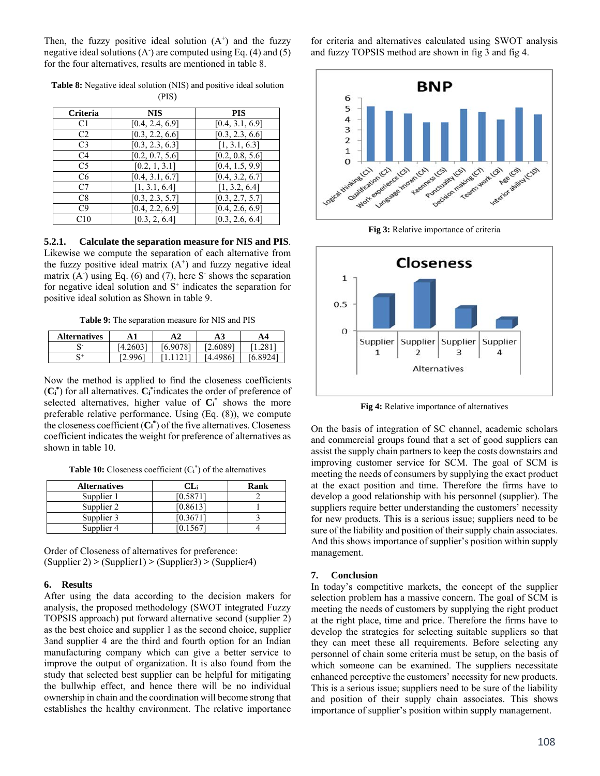Then, the fuzzy positive ideal solution  $(A^+)$  and the fuzzy negative ideal solutions  $(A<sup>2</sup>)$  are computed using Eq. (4) and (5) for the four alternatives, results are mentioned in table 8.

**Table 8:** Negative ideal solution (NIS) and positive ideal solution (PIS)

| Criteria       | <b>NIS</b>      | <b>PIS</b>      |
|----------------|-----------------|-----------------|
| C <sub>1</sub> | [0.4, 2.4, 6.9] | [0.4, 3.1, 6.9] |
| C <sub>2</sub> | [0.3, 2.2, 6.6] | [0.3, 2.3, 6.6] |
| C <sub>3</sub> | [0.3, 2.3, 6.3] | [1, 3.1, 6.3]   |
| C <sub>4</sub> | [0.2, 0.7, 5.6] | [0.2, 0.8, 5.6] |
| C <sub>5</sub> | [0.2, 1, 3.1]   | [0.4, 1.5, 9.9] |
| C <sub>6</sub> | [0.4, 3.1, 6.7] | [0.4, 3.2, 6.7] |
| C7             | [1, 3.1, 6.4]   | [1, 3.2, 6.4]   |
| C8             | [0.3, 2.3, 5.7] | [0.3, 2.7, 5.7] |
| C9             | [0.4, 2.2, 6.9] | [0.4, 2.6, 6.9] |
| C10            | [0.3, 2, 6.4]   | [0.3, 2.6, 6.4] |

**5.2.1. Calculate the separation measure for NIS and PIS**. Likewise we compute the separation of each alternative from the fuzzy positive ideal matrix  $(A<sup>+</sup>)$  and fuzzy negative ideal matrix  $(A<sup>2</sup>)$  using Eq. (6) and (7), here S<sup>-</sup> shows the separation for negative ideal solution and  $S<sup>+</sup>$  indicates the separation for positive ideal solution as Shown in table 9.

**Table 9:** The separation measure for NIS and PIS

| <b>Alternatives</b> |           | A2       | A3      | A4         |
|---------------------|-----------|----------|---------|------------|
|                     | $-4.2603$ | [6.9078] | 2.60891 |            |
| ◡                   | 9967      |          | .49861  | 8924<br>6. |

Now the method is applied to find the closeness coefficients (**Ci \*** ) for all alternatives. **Ci \*** indicates the order of preference of selected alternatives, higher value of  $C_i^*$  shows the more preferable relative performance. Using (Eq. (8)), we compute the closeness coefficient  $(C_i^*)$  of the five alternatives. Closeness coefficient indicates the weight for preference of alternatives as shown in table 10.

**Table 10:** Closeness coefficient  $(C_i^*)$  of the alternatives

| <b>Alternatives</b> |          | Rank |
|---------------------|----------|------|
| Supplier 1          | [0.5871] |      |
| Supplier 2          | [0.8613] |      |
| Supplier 3          | [0.3671] |      |
| Supplier 4          |          |      |

Order of Closeness of alternatives for preference: (Supplier 2) **>** (Supplier1) **>** (Supplier3) **>** (Supplier4)

### **6. Results**

After using the data according to the decision makers for analysis, the proposed methodology (SWOT integrated Fuzzy TOPSIS approach) put forward alternative second (supplier 2) as the best choice and supplier 1 as the second choice, supplier 3and supplier 4 are the third and fourth option for an Indian manufacturing company which can give a better service to improve the output of organization. It is also found from the study that selected best supplier can be helpful for mitigating the bullwhip effect, and hence there will be no individual ownership in chain and the coordination will become strong that establishes the healthy environment. The relative importance

for criteria and alternatives calculated using SWOT analysis and fuzzy TOPSIS method are shown in fig 3 and fig 4.



**Fig 3:** Relative importance of criteria



**Fig 4:** Relative importance of alternatives

On the basis of integration of SC channel, academic scholars and commercial groups found that a set of good suppliers can assist the supply chain partners to keep the costs downstairs and improving customer service for SCM. The goal of SCM is meeting the needs of consumers by supplying the exact product at the exact position and time. Therefore the firms have to develop a good relationship with his personnel (supplier). The suppliers require better understanding the customers' necessity for new products. This is a serious issue; suppliers need to be sure of the liability and position of their supply chain associates. And this shows importance of supplier's position within supply management.

#### **7. Conclusion**

In today's competitive markets, the concept of the supplier selection problem has a massive concern. The goal of SCM is meeting the needs of customers by supplying the right product at the right place, time and price. Therefore the firms have to develop the strategies for selecting suitable suppliers so that they can meet these all requirements. Before selecting any personnel of chain some criteria must be setup, on the basis of which someone can be examined. The suppliers necessitate enhanced perceptive the customers' necessity for new products. This is a serious issue; suppliers need to be sure of the liability and position of their supply chain associates. This shows importance of supplier's position within supply management.